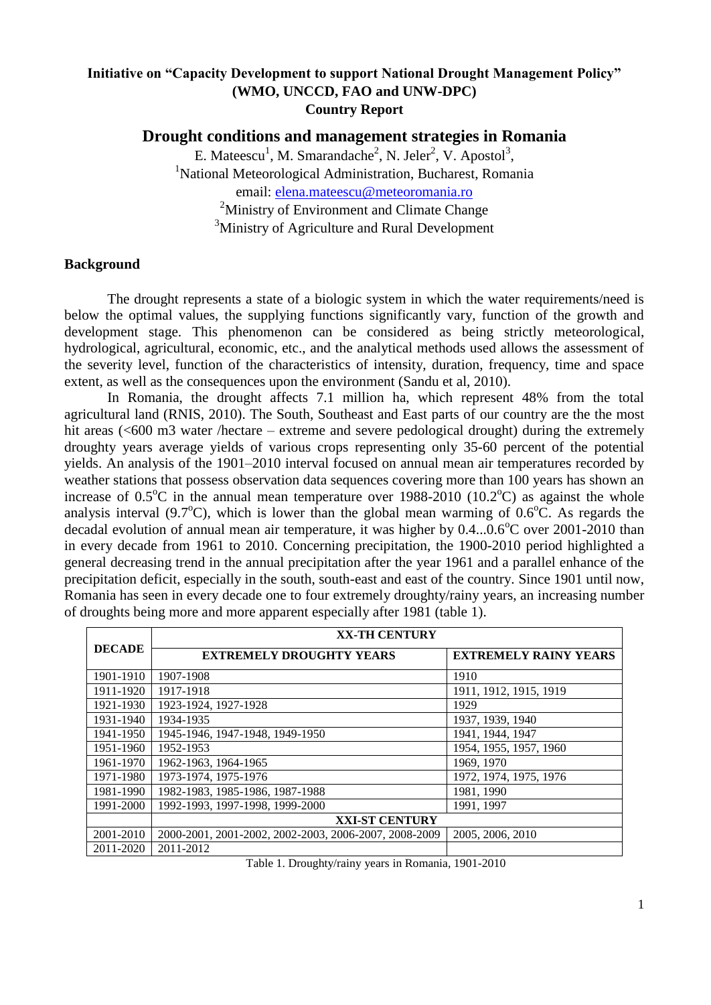# **Initiative on "Capacity Development to support National Drought Management Policy" (WMO, UNCCD, FAO and UNW-DPC) Country Report**

**Drought conditions and management strategies in Romania**

E. Mateescu<sup>1</sup>, M. Smarandache<sup>2</sup>, N. Jeler<sup>2</sup>, V. Apostol<sup>3</sup>, <sup>1</sup>National Meteorological Administration, Bucharest, Romania email: [elena.mateescu@meteoromania.ro](mailto:elena.mateescu@meteoromania.ro) <sup>2</sup>Ministry of Environment and Climate Change <sup>3</sup>Ministry of Agriculture and Rural Development

# **Background**

The drought represents a state of a biologic system in which the water requirements/need is below the optimal values, the supplying functions significantly vary, function of the growth and development stage. This phenomenon can be considered as being strictly meteorological, hydrological, agricultural, economic, etc., and the analytical methods used allows the assessment of the severity level, function of the characteristics of intensity, duration, frequency, time and space extent, as well as the consequences upon the environment (Sandu et al, 2010).

In Romania, the drought affects 7.1 million ha, which represent 48% from the total agricultural land (RNIS, 2010). The South, Southeast and East parts of our country are the the most hit areas (<600 m3 water /hectare – extreme and severe pedological drought) during the extremely droughty years average yields of various crops representing only 35-60 percent of the potential yields. An analysis of the 1901–2010 interval focused on annual mean air temperatures recorded by weather stations that possess observation data sequences covering more than 100 years has shown an increase of  $0.5^{\circ}\text{C}$  in the annual mean temperature over 1988-2010 (10.2 $^{\circ}\text{C}$ ) as against the whole analysis interval (9.7 $^{\circ}$ C), which is lower than the global mean warming of 0.6 $^{\circ}$ C. As regards the decadal evolution of annual mean air temperature, it was higher by  $0.4...0.6^{\circ}$ C over 2001-2010 than in every decade from 1961 to 2010. Concerning precipitation, the 1900-2010 period highlighted a general decreasing trend in the annual precipitation after the year 1961 and a parallel enhance of the precipitation deficit, especially in the south, south-east and east of the country. Since 1901 until now, Romania has seen in every decade one to four extremely droughty/rainy years, an increasing number of droughts being more and more apparent especially after 1981 (table 1).

| <b>DECADE</b> | <b>XX-TH CENTURY</b>                                  |                              |  |
|---------------|-------------------------------------------------------|------------------------------|--|
|               | <b>EXTREMELY DROUGHTY YEARS</b>                       | <b>EXTREMELY RAINY YEARS</b> |  |
| 1901-1910     | 1907-1908                                             | 1910                         |  |
| 1911-1920     | 1917-1918                                             | 1911, 1912, 1915, 1919       |  |
| 1921-1930     | 1923-1924, 1927-1928                                  | 1929                         |  |
| 1931-1940     | 1934-1935                                             | 1937, 1939, 1940             |  |
| 1941-1950     | 1945-1946, 1947-1948, 1949-1950                       | 1941, 1944, 1947             |  |
| 1951-1960     | 1952-1953                                             | 1954, 1955, 1957, 1960       |  |
| 1961-1970     | 1962-1963, 1964-1965                                  | 1969, 1970                   |  |
| 1971-1980     | 1973-1974, 1975-1976                                  | 1972, 1974, 1975, 1976       |  |
| 1981-1990     | 1982-1983, 1985-1986, 1987-1988                       | 1981, 1990                   |  |
| 1991-2000     | 1992-1993, 1997-1998, 1999-2000                       | 1991, 1997                   |  |
|               | <b>XXI-ST CENTURY</b>                                 |                              |  |
| 2001-2010     | 2000-2001, 2001-2002, 2002-2003, 2006-2007, 2008-2009 | 2005, 2006, 2010             |  |
| 2011-2020     | 2011-2012                                             |                              |  |

Table 1. Droughty/rainy years in Romania, 1901-2010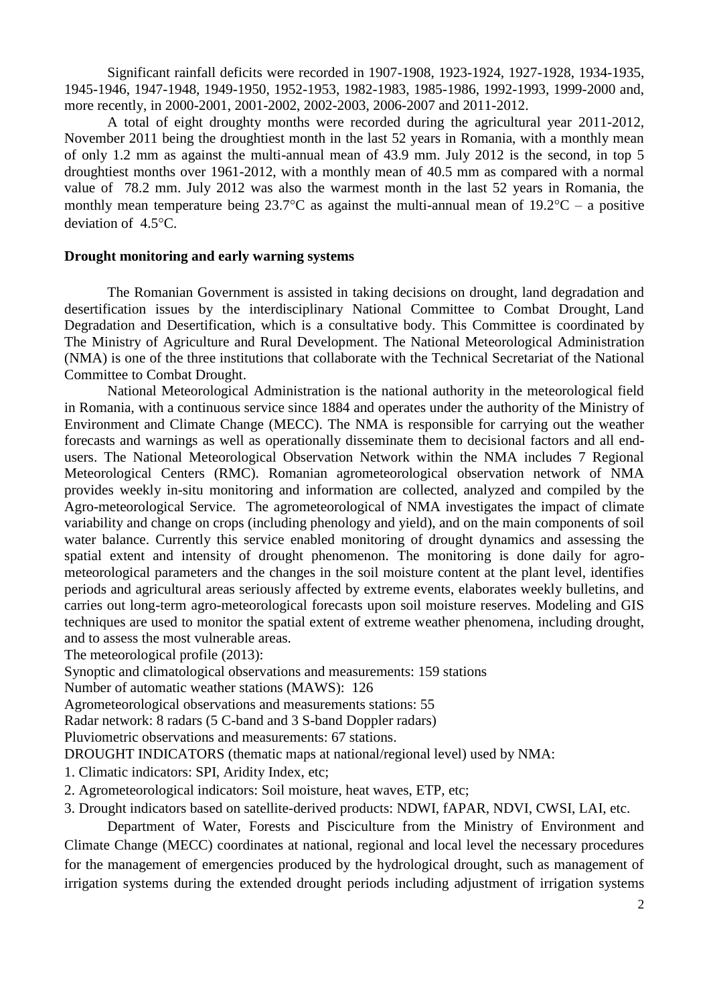Significant rainfall deficits were recorded in 1907-1908, 1923-1924, 1927-1928, 1934-1935, 1945-1946, 1947-1948, 1949-1950, 1952-1953, 1982-1983, 1985-1986, 1992-1993, 1999-2000 and, more recently, in 2000-2001, 2001-2002, 2002-2003, 2006-2007 and 2011-2012.

A total of eight droughty months were recorded during the agricultural year 2011-2012, November 2011 being the droughtiest month in the last 52 years in Romania, with a monthly mean of only 1.2 mm as against the multi-annual mean of 43.9 mm. July 2012 is the second, in top 5 droughtiest months over 1961-2012, with a monthly mean of 40.5 mm as compared with a normal value of 78.2 mm. July 2012 was also the warmest month in the last 52 years in Romania, the monthly mean temperature being 23.7°C as against the multi-annual mean of  $19.2$ °C – a positive deviation of  $4.5^{\circ}$ C.

## **Drought monitoring and early warning systems**

The Romanian Government is assisted in taking decisions on drought, land degradation and desertification issues by the interdisciplinary National Committee to Combat Drought, Land Degradation and Desertification, which is a consultative body. This Committee is coordinated by The Ministry of Agriculture and Rural Development. The National Meteorological Administration (NMA) is one of the three institutions that collaborate with the Technical Secretariat of the National Committee to Combat Drought.

National Meteorological Administration is the national authority in the meteorological field in Romania, with a continuous service since 1884 and operates under the authority of the Ministry of Environment and Climate Change (MECC). The NMA is responsible for carrying out the weather forecasts and warnings as well as operationally disseminate them to decisional factors and all endusers. The National Meteorological Observation Network within the NMA includes 7 Regional Meteorological Centers (RMC). Romanian agrometeorological observation network of NMA provides weekly in-situ monitoring and information are collected, analyzed and compiled by the Agro-meteorological Service. The agrometeorological of NMA investigates the impact of climate variability and change on crops (including phenology and yield), and on the main components of soil water balance. Currently this service enabled monitoring of drought dynamics and assessing the spatial extent and intensity of drought phenomenon. The monitoring is done daily for agrometeorological parameters and the changes in the soil moisture content at the plant level, identifies periods and agricultural areas seriously affected by extreme events, elaborates weekly bulletins, and carries out long-term agro-meteorological forecasts upon soil moisture reserves. Modeling and GIS techniques are used to monitor the spatial extent of extreme weather phenomena, including drought, and to assess the most vulnerable areas.

The meteorological profile (2013):

Synoptic and climatological observations and measurements: 159 stations

Number of automatic weather stations (MAWS): 126

Agrometeorological observations and measurements stations: 55

Radar network: 8 radars (5 C-band and 3 S-band Doppler radars)

Pluviometric observations and measurements: 67 stations.

DROUGHT INDICATORS (thematic maps at national/regional level) used by NMA:

- 1. Climatic indicators: SPI, Aridity Index, etc;
- 2. Agrometeorological indicators: Soil moisture, heat waves, ETP, etc;
- 3. Drought indicators based on satellite-derived products: NDWI, fAPAR, NDVI, CWSI, LAI, etc.

Department of Water, Forests and Pisciculture from the Ministry of Environment and Climate Change (MECC) coordinates at national, regional and local level the necessary procedures for the management of emergencies produced by the hydrological drought, such as management of irrigation systems during the extended drought periods including adjustment of irrigation systems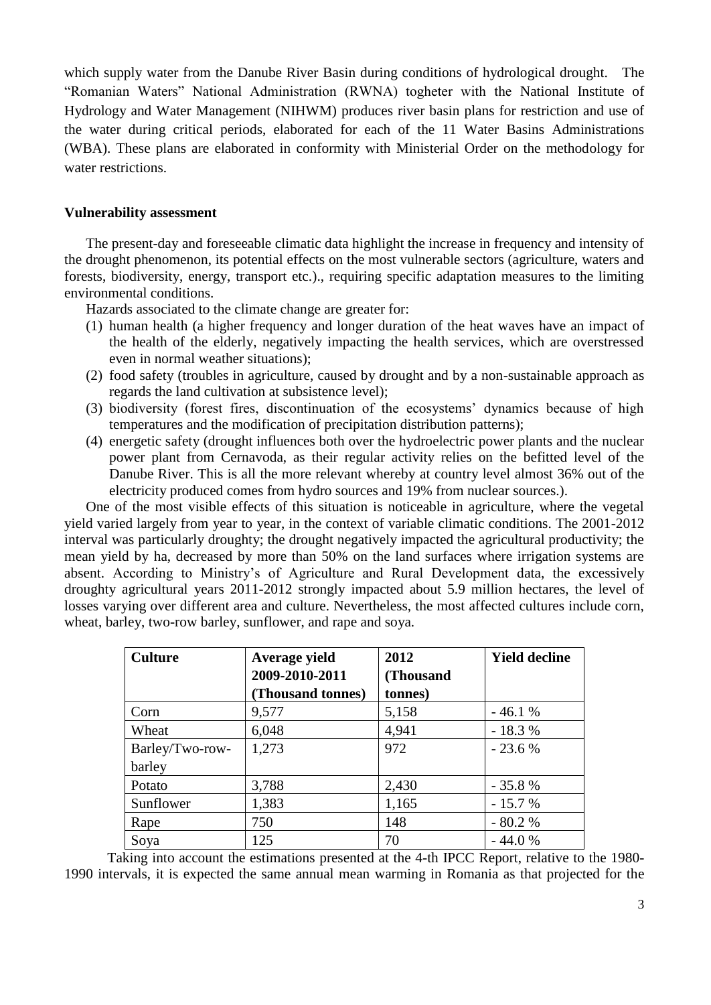which supply water from the Danube River Basin during conditions of hydrological drought. The "Romanian Waters" National Administration (RWNA) togheter with the National Institute of Hydrology and Water Management (NIHWM) produces river basin plans for restriction and use of the water during critical periods, elaborated for each of the 11 Water Basins Administrations (WBA). These plans are elaborated in conformity with Ministerial Order on the methodology for water restrictions.

#### **Vulnerability assessment**

The present-day and foreseeable climatic data highlight the increase in frequency and intensity of the drought phenomenon, its potential effects on the most vulnerable sectors (agriculture, waters and forests, biodiversity, energy, transport etc.)., requiring specific adaptation measures to the limiting environmental conditions.

Hazards associated to the climate change are greater for:

- (1) human health (a higher frequency and longer duration of the heat waves have an impact of the health of the elderly, negatively impacting the health services, which are overstressed even in normal weather situations);
- (2) food safety (troubles in agriculture, caused by drought and by a non-sustainable approach as regards the land cultivation at subsistence level);
- (3) biodiversity (forest fires, discontinuation of the ecosystems' dynamics because of high temperatures and the modification of precipitation distribution patterns);
- (4) energetic safety (drought influences both over the hydroelectric power plants and the nuclear power plant from Cernavoda, as their regular activity relies on the befitted level of the Danube River. This is all the more relevant whereby at country level almost 36% out of the electricity produced comes from hydro sources and 19% from nuclear sources.).

One of the most visible effects of this situation is noticeable in agriculture, where the vegetal yield varied largely from year to year, in the context of variable climatic conditions. The 2001-2012 interval was particularly droughty; the drought negatively impacted the agricultural productivity; the mean yield by ha, decreased by more than 50% on the land surfaces where irrigation systems are absent. According to Ministry's of Agriculture and Rural Development data, the excessively droughty agricultural years 2011-2012 strongly impacted about 5.9 million hectares, the level of losses varying over different area and culture. Nevertheless, the most affected cultures include corn, wheat, barley, two-row barley, sunflower, and rape and soya.

| <b>Culture</b>  | Average yield     | 2012      | <b>Yield decline</b> |
|-----------------|-------------------|-----------|----------------------|
|                 | 2009-2010-2011    | (Thousand |                      |
|                 | (Thousand tonnes) | tonnes)   |                      |
| Corn            | 9,577             | 5,158     | $-46.1%$             |
| Wheat           | 6,048             | 4,941     | $-18.3%$             |
| Barley/Two-row- | 1,273             | 972       | $-23.6%$             |
| barley          |                   |           |                      |
| Potato          | 3,788             | 2,430     | $-35.8%$             |
| Sunflower       | 1,383             | 1,165     | $-15.7%$             |
| Rape            | 750               | 148       | $-80.2%$             |
| Soya            | 125               | 70        | $-44.0%$             |

Taking into account the estimations presented at the 4-th IPCC Report, relative to the 1980- 1990 intervals, it is expected the same annual mean warming in Romania as that projected for the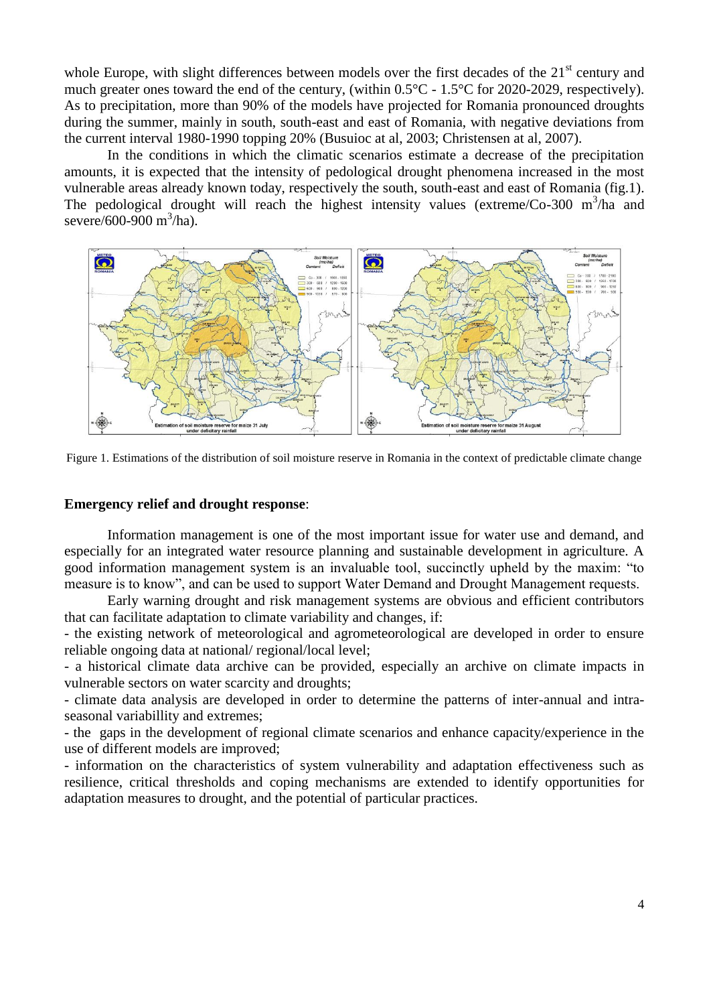whole Europe, with slight differences between models over the first decades of the  $21<sup>st</sup>$  century and much greater ones toward the end of the century, (within 0.5°C - 1.5°C for 2020-2029, respectively). As to precipitation, more than 90% of the models have projected for Romania pronounced droughts during the summer, mainly in south, south-east and east of Romania, with negative deviations from the current interval 1980-1990 topping 20% (Busuioc at al, 2003; Christensen at al, 2007).

In the conditions in which the climatic scenarios estimate a decrease of the precipitation amounts, it is expected that the intensity of pedological drought phenomena increased in the most vulnerable areas already known today, respectively the south, south-east and east of Romania (fig.1). The pedological drought will reach the highest intensity values (extreme/Co-300  $\text{m}^3/\text{ha}$  and severe/600-900 m<sup>3</sup>/ha).



Figure 1. Estimations of the distribution of soil moisture reserve in Romania in the context of predictable climate change

### **Emergency relief and drought response**:

Information management is one of the most important issue for water use and demand, and especially for an integrated water resource planning and sustainable development in agriculture. A good information management system is an invaluable tool, succinctly upheld by the maxim: "to measure is to know", and can be used to support Water Demand and Drought Management requests.

Early warning drought and risk management systems are obvious and efficient contributors that can facilitate adaptation to climate variability and changes, if:

- the existing network of meteorological and agrometeorological are developed in order to ensure reliable ongoing data at national/ regional/local level;

- a historical climate data archive can be provided, especially an archive on climate impacts in vulnerable sectors on water scarcity and droughts;

- climate data analysis are developed in order to determine the patterns of inter-annual and intraseasonal variabillity and extremes;

- the gaps in the development of regional climate scenarios and enhance capacity/experience in the use of different models are improved;

- information on the characteristics of system vulnerability and adaptation effectiveness such as resilience, critical thresholds and coping mechanisms are extended to identify opportunities for adaptation measures to drought, and the potential of particular practices.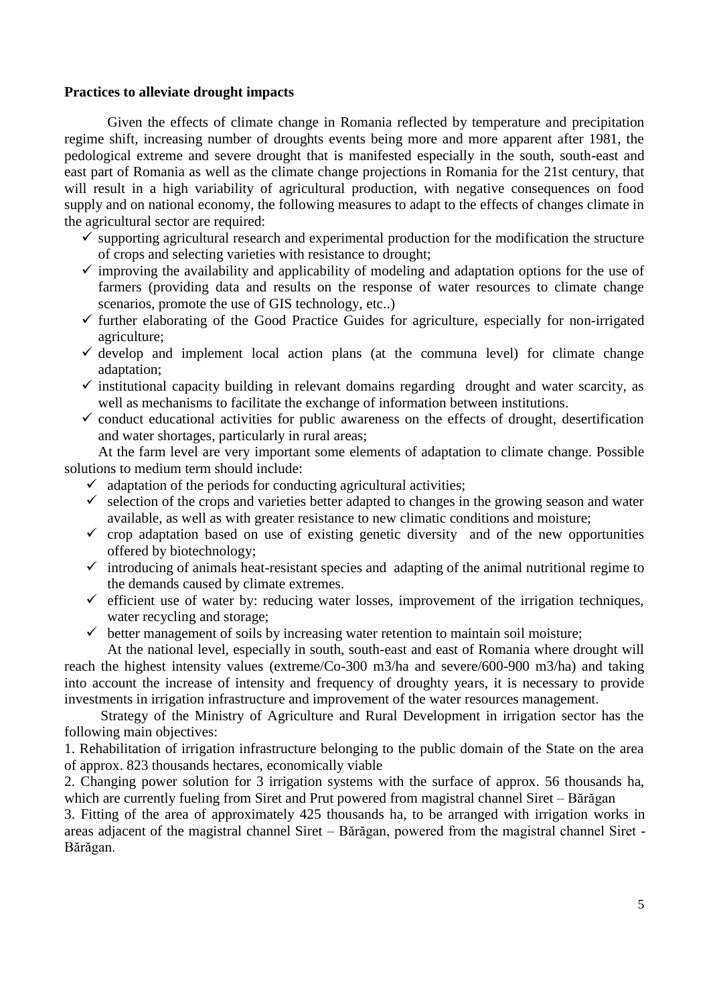### **Practices to alleviate drought impacts**

Given the effects of climate change in Romania reflected by temperature and precipitation regime shift, increasing number of droughts events being more and more apparent after 1981, the pedological extreme and severe drought that is manifested especially in the south, south-east and east part of Romania as well as the climate change projections in Romania for the 21st century, that will result in a high variability of agricultural production, with negative consequences on food supply and on national economy, the following measures to adapt to the effects of changes climate in the agricultural sector are required:

- $\checkmark$  supporting agricultural research and experimental production for the modification the structure of crops and selecting varieties with resistance to drought;
- $\checkmark$  improving the availability and applicability of modeling and adaptation options for the use of farmers (providing data and results on the response of water resources to climate change scenarios, promote the use of GIS technology, etc..)
- $\checkmark$  further elaborating of the Good Practice Guides for agriculture, especially for non-irrigated agriculture;
- $\checkmark$  develop and implement local action plans (at the communa level) for climate change adaptation;
- $\checkmark$  institutional capacity building in relevant domains regarding drought and water scarcity, as well as mechanisms to facilitate the exchange of information between institutions.
- $\checkmark$  conduct educational activities for public awareness on the effects of drought, desertification and water shortages, particularly in rural areas;

At the farm level are very important some elements of adaptation to climate change. Possible solutions to medium term should include:

- $\checkmark$  adaptation of the periods for conducting agricultural activities;
- $\checkmark$  selection of the crops and varieties better adapted to changes in the growing season and water available, as well as with greater resistance to new climatic conditions and moisture;
- $\checkmark$  crop adaptation based on use of existing genetic diversity and of the new opportunities offered by biotechnology;
- $\checkmark$  introducing of animals heat-resistant species and adapting of the animal nutritional regime to the demands caused by climate extremes.
- $\checkmark$  efficient use of water by: reducing water losses, improvement of the irrigation techniques, water recycling and storage;
- $\checkmark$  better management of soils by increasing water retention to maintain soil moisture;

At the national level, especially in south, south-east and east of Romania where drought will reach the highest intensity values (extreme/Co-300 m3/ha and severe/600-900 m3/ha) and taking into account the increase of intensity and frequency of droughty years, it is necessary to provide investments in irrigation infrastructure and improvement of the water resources management.

 Strategy of the Ministry of Agriculture and Rural Development in irrigation sector has the following main objectives:

1. Rehabilitation of irrigation infrastructure belonging to the public domain of the State on the area of approx. 823 thousands hectares, economically viable

2. Changing power solution for 3 irrigation systems with the surface of approx. 56 thousands ha, which are currently fueling from Siret and Prut powered from magistral channel Siret – Bărăgan

3. Fitting of the area of approximately 425 thousands ha, to be arranged with irrigation works in areas adjacent of the magistral channel Siret – Bărăgan, powered from the magistral channel Siret - Bărăgan.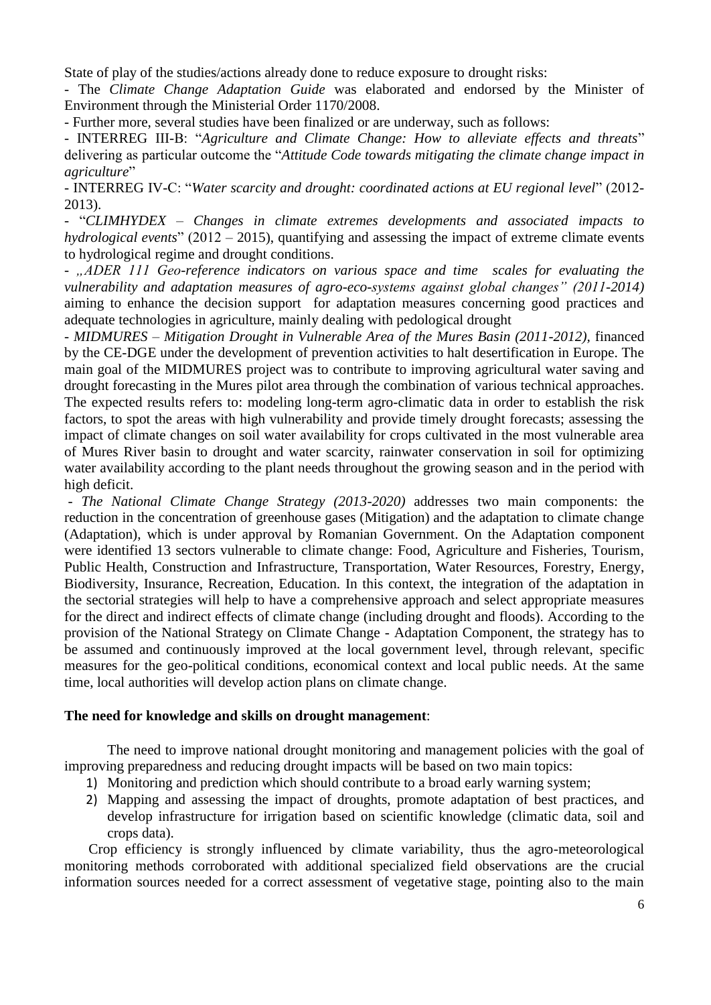State of play of the studies/actions already done to reduce exposure to drought risks:

- The *Climate Change Adaptation Guide* was elaborated and endorsed by the Minister of Environment through the Ministerial Order 1170/2008.

- Further more, several studies have been finalized or are underway, such as follows:

- INTERREG III-B: "*Agriculture and Climate Change: How to alleviate effects and threats*" delivering as particular outcome the "*Attitude Code towards mitigating the climate change impact in agriculture*"

- INTERREG IV-C: "*Water scarcity and drought: coordinated actions at EU regional level*" (2012- 2013).

- "*CLIMHYDEX – Changes in climate extremes developments and associated impacts to hydrological events*" (2012 – 2015), quantifying and assessing the impact of extreme climate events to hydrological regime and drought conditions.

*- "ADER 111 Geo-reference indicators on various space and time scales for evaluating the vulnerability and adaptation measures of agro-eco-systems against global changes" (2011-2014)*  aiming to enhance the decision support for adaptation measures concerning good practices and adequate technologies in agriculture, mainly dealing with pedological drought

- *MIDMURES – Mitigation Drought in Vulnerable Area of the Mures Basin (2011-2012),* financed by the CE-DGE under the development of prevention activities to halt desertification in Europe. The main goal of the MIDMURES project was to contribute to improving agricultural water saving and drought forecasting in the Mures pilot area through the combination of various technical approaches. The expected results refers to: modeling long-term agro-climatic data in order to establish the risk factors, to spot the areas with high vulnerability and provide timely drought forecasts; assessing the impact of climate changes on soil water availability for crops cultivated in the most vulnerable area of Mures River basin to drought and water scarcity, rainwater conservation in soil for optimizing water availability according to the plant needs throughout the growing season and in the period with high deficit.

- *The National Climate Change Strategy (2013-2020)* addresses two main components: the reduction in the concentration of greenhouse gases (Mitigation) and the adaptation to climate change (Adaptation), which is under approval by Romanian Government. On the Adaptation component were identified 13 sectors vulnerable to climate change: Food, Agriculture and Fisheries, Tourism, Public Health, Construction and Infrastructure, Transportation, Water Resources, Forestry, Energy, Biodiversity, Insurance, Recreation, Education. In this context, the integration of the adaptation in the sectorial strategies will help to have a comprehensive approach and select appropriate measures for the direct and indirect effects of climate change (including drought and floods). According to the provision of the National Strategy on Climate Change - Adaptation Component, the strategy has to be assumed and continuously improved at the local government level, through relevant, specific measures for the geo-political conditions, economical context and local public needs. At the same time, local authorities will develop action plans on climate change.

## **The need for knowledge and skills on drought management**:

The need to improve national drought monitoring and management policies with the goal of improving preparedness and reducing drought impacts will be based on two main topics:

- 1) Monitoring and prediction which should contribute to a broad early warning system;
- 2) Mapping and assessing the impact of droughts, promote adaptation of best practices, and develop infrastructure for irrigation based on scientific knowledge (climatic data, soil and crops data).

Crop efficiency is strongly influenced by climate variability, thus the agro-meteorological monitoring methods corroborated with additional specialized field observations are the crucial information sources needed for a correct assessment of vegetative stage, pointing also to the main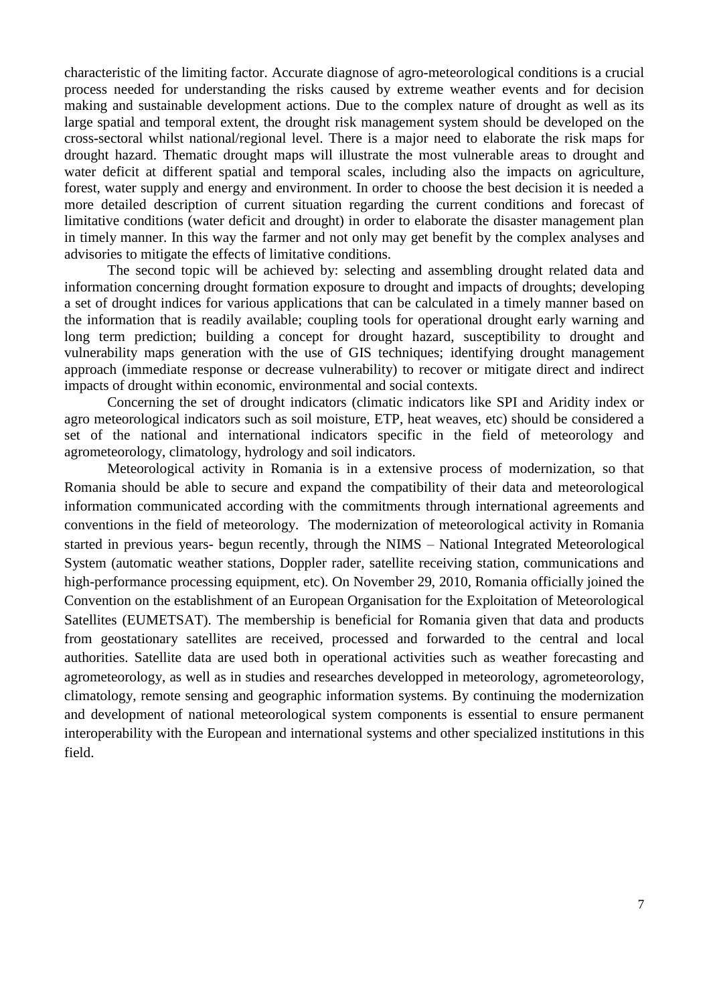characteristic of the limiting factor. Accurate diagnose of agro-meteorological conditions is a crucial process needed for understanding the risks caused by extreme weather events and for decision making and sustainable development actions. Due to the complex nature of drought as well as its large spatial and temporal extent, the drought risk management system should be developed on the cross-sectoral whilst national/regional level. There is a major need to elaborate the risk maps for drought hazard. Thematic drought maps will illustrate the most vulnerable areas to drought and water deficit at different spatial and temporal scales, including also the impacts on agriculture, forest, water supply and energy and environment. In order to choose the best decision it is needed a more detailed description of current situation regarding the current conditions and forecast of limitative conditions (water deficit and drought) in order to elaborate the disaster management plan in timely manner. In this way the farmer and not only may get benefit by the complex analyses and advisories to mitigate the effects of limitative conditions.

The second topic will be achieved by: selecting and assembling drought related data and information concerning drought formation exposure to drought and impacts of droughts; developing a set of drought indices for various applications that can be calculated in a timely manner based on the information that is readily available; coupling tools for operational drought early warning and long term prediction; building a concept for drought hazard, susceptibility to drought and vulnerability maps generation with the use of GIS techniques; identifying drought management approach (immediate response or decrease vulnerability) to recover or mitigate direct and indirect impacts of drought within economic, environmental and social contexts.

Concerning the set of drought indicators (climatic indicators like SPI and Aridity index or agro meteorological indicators such as soil moisture, ETP, heat weaves, etc) should be considered a set of the national and international indicators specific in the field of meteorology and agrometeorology, climatology, hydrology and soil indicators.

Meteorological activity in Romania is in a extensive process of modernization, so that Romania should be able to secure and expand the compatibility of their data and meteorological information communicated according with the commitments through international agreements and conventions in the field of meteorology. The modernization of meteorological activity in Romania started in previous years- begun recently, through the NIMS – National Integrated Meteorological System (automatic weather stations, Doppler rader, satellite receiving station, communications and high-performance processing equipment, etc). On November 29, 2010, Romania officially joined the Convention on the establishment of an European Organisation for the Exploitation of Meteorological Satellites (EUMETSAT). The membership is beneficial for Romania given that data and products from geostationary satellites are received, processed and forwarded to the central and local authorities. Satellite data are used both in operational activities such as weather forecasting and agrometeorology, as well as in studies and researches developped in meteorology, agrometeorology, climatology, remote sensing and geographic information systems. By continuing the modernization and development of national meteorological system components is essential to ensure permanent interoperability with the European and international systems and other specialized institutions in this field.